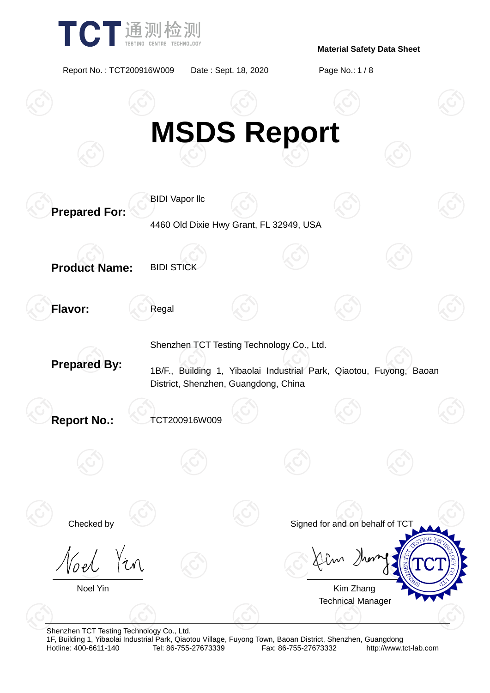

Report No. : TCT200916W009 Date : Sept. 18, 2020 Page No.: 1 / 8



Shenzhen TCT Testing Technology Co., Ltd.

1F, Building 1, Yibaolai Industrial Park, Qiaotou Village, Fuyong Town, Baoan District, Shenzhen, Guangdong Fax: 86-755-27673332 http://www.tct-lab.com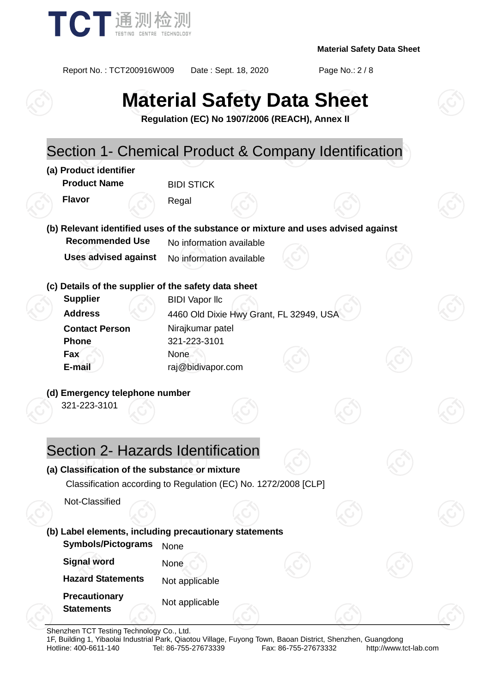

Report No. : TCT200916W009 Date : Sept. 18, 2020 Page No.: 2 / 8

# **Material Safety Data Sheet**

**Regulation (EC) No 1907/2006 (REACH), Annex II**

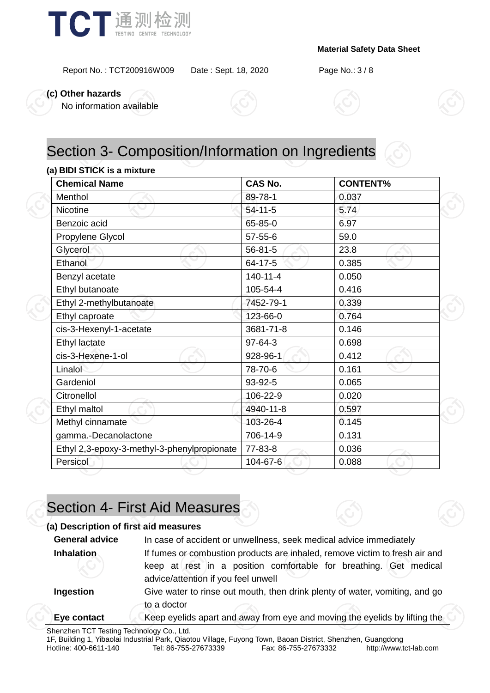

Report No. : TCT200916W009 Date : Sept. 18, 2020 Page No.: 3 / 8

**(c) Other hazards**

No information available





### **(a) BIDI STICK is a mixture**

| <b>Chemical Name</b>                        | <b>CAS No.</b> | <b>CONTENT%</b> |  |
|---------------------------------------------|----------------|-----------------|--|
| Menthol                                     | 89-78-1        | 0.037           |  |
| <b>Nicotine</b>                             | 54-11-5        | 5.74            |  |
| Benzoic acid                                | 65-85-0        | 6.97            |  |
| Propylene Glycol                            | 57-55-6        | 59.0            |  |
| Glycerol                                    | $56 - 81 - 5$  | 23.8            |  |
| Ethanol                                     | 64-17-5        | 0.385           |  |
| Benzyl acetate                              | 140-11-4       | 0.050           |  |
| Ethyl butanoate                             | 105-54-4       | 0.416           |  |
| Ethyl 2-methylbutanoate                     | 7452-79-1      | 0.339           |  |
| Ethyl caproate                              | 123-66-0       | 0.764           |  |
| cis-3-Hexenyl-1-acetate                     | 3681-71-8      | 0.146           |  |
| Ethyl lactate                               | 97-64-3        | 0.698           |  |
| cis-3-Hexene-1-ol                           | 928-96-1       | 0.412           |  |
| Linalol                                     | 78-70-6        | 0.161           |  |
| Gardeniol                                   | 93-92-5        | 0.065           |  |
| Citronellol                                 | 106-22-9       | 0.020           |  |
| Ethyl maltol                                | 4940-11-8      | 0.597           |  |
| Methyl cinnamate                            | 103-26-4       | 0.145           |  |
| gamma.-Decanolactone                        | 706-14-9       | 0.131           |  |
| Ethyl 2,3-epoxy-3-methyl-3-phenylpropionate | 77-83-8        | 0.036           |  |
| Persicol                                    | 104-67-6       | 0.088           |  |

# Section 4- First Aid Measures

### **(a) Description of first aid measures**

| <b>General advice</b> | In case of accident or unwellness, seek medical advice immediately                                       |  |  |
|-----------------------|----------------------------------------------------------------------------------------------------------|--|--|
| Inhalation            | If fumes or combustion products are inhaled, remove victim to fresh air and                              |  |  |
|                       | keep at rest in a position comfortable for breathing. Get medical<br>advice/attention if you feel unwell |  |  |
| Ingestion             | Give water to rinse out mouth, then drink plenty of water, vomiting, and go<br>to a doctor               |  |  |
| Eye contact           | Keep eyelids apart and away from eye and moving the eyelids by lifting the                               |  |  |

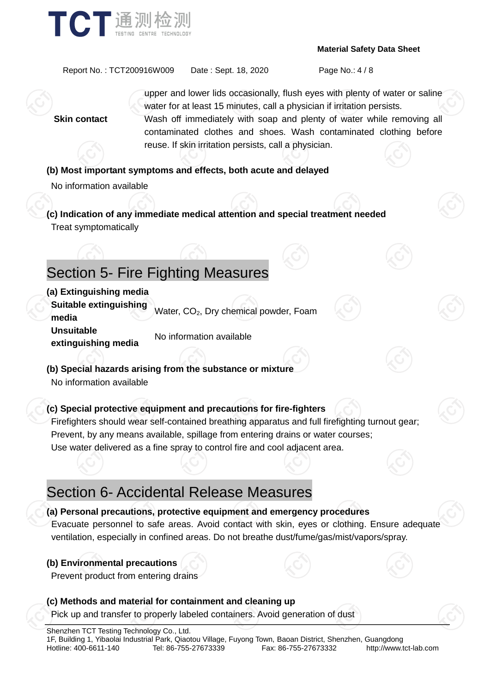

Report No. : TCT200916W009 Date : Sept. 18, 2020 Page No.: 4 / 8

upper and lower lids occasionally, flush eyes with plenty of water or saline water for at least 15 minutes, call a physician if irritation persists. **Skin contact** Wash off immediately with soap and plenty of water while removing all contaminated clothes and shoes. Wash contaminated clothing before reuse. If skin irritation persists, call a physician.

### **(b) Most important symptoms and effects, both acute and delayed**

No information available

**(c) Indication of any immediate medical attention and special treatment needed** Treat symptomatically

# Section 5- Fire Fighting Measures

### **(a) Extinguishing media**

**Suitable extinguishing bundale examgers image.** Water, CO<sub>2</sub>, Dry chemical powder, Foam **Unsuitable extinguishing media** No information available

**(b) Special hazards arising from the substance or mixture** No information available

### **(c) Special protective equipment and precautions for fire-fighters**

Firefighters should wear self-contained breathing apparatus and full firefighting turnout gear; Prevent, by any means available, spillage from entering drains or water courses; Use water delivered as a fine spray to control fire and cool adjacent area.

### Section 6- Accidental Release Measures

#### **(a) Personal precautions, protective equipment and emergency procedures**

Evacuate personnel to safe areas. Avoid contact with skin, eyes or clothing. Ensure adequate ventilation, especially in confined areas. Do not breathe dust/fume/gas/mist/vapors/spray.

### **(b) Environmental precautions**

Prevent product from entering drains

### **(c) Methods and material for containment and cleaning up** Pick up and transfer to properly labeled containers. Avoid generation of dust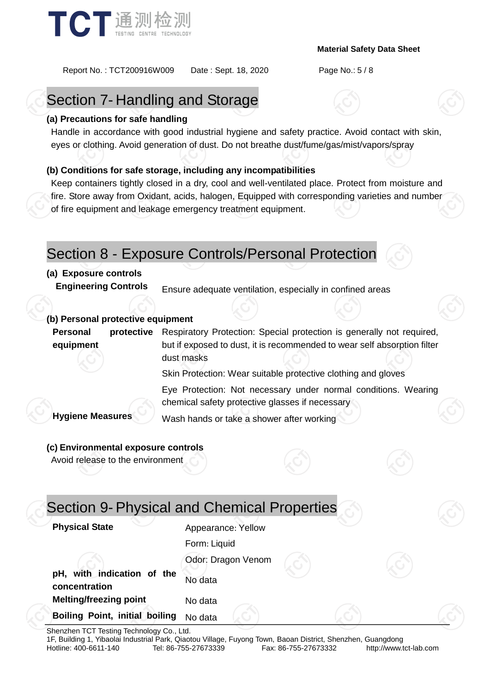

Report No. : TCT200916W009 Date : Sept. 18, 2020 Page No.: 5 / 8

# Section 7- Handling and Storage

#### **(a) Precautions for safe handling**

Handle in accordance with good industrial hygiene and safety practice. Avoid contact with skin, eyes or clothing. Avoid generation of dust. Do not breathe dust/fume/gas/mist/vapors/spray

### **(b) Conditions for safe storage, including any incompatibilities**

Keep containers tightly closed in a dry, cool and well-ventilated place. Protect from moisture and fire. Store away from Oxidant, acids, halogen, Equipped with corresponding varieties and number of fire equipment and leakage emergency treatment equipment.

### Section 8 - Exposure Controls/Personal Protection

### **(a) Exposure controls**

**Engineering Controls** Ensure adequate ventilation, especially in confined areas

#### **(b) Personal protective equipment**

**Personal protective equipment** Respiratory Protection: Special protection is generally not required, but if exposed to dust, it is recommended to wear self absorption filter dust masks

Skin Protection: Wear suitable protective clothing and gloves

Eye Protection: Not necessary under normal conditions. Wearing chemical safety protective glasses if necessary

**Hygiene Measures** Wash hands or take a shower after working

#### **(c) Environmental exposure controls**

Avoid release to the environment

| Appearance: Yellow |                                             |
|--------------------|---------------------------------------------|
| Form: Liquid       |                                             |
| Odor: Dragon Venom |                                             |
| No data            |                                             |
| No data            |                                             |
| No data            |                                             |
|                    | Section 9- Physical and Chemical Properties |

Shenzhen TCT Testing Technology Co., Ltd.

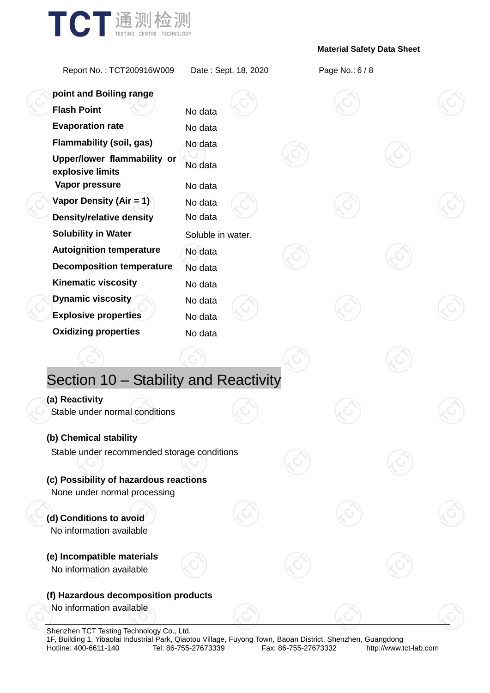

Report No. : TCT200916W009 Date : Sept. 18, 2020 Page No.: 6 / 8

| point and Boiling range                                           |                    |  |  |  |
|-------------------------------------------------------------------|--------------------|--|--|--|
| <b>Flash Point</b>                                                | No data            |  |  |  |
| <b>Evaporation rate</b>                                           | No data            |  |  |  |
| <b>Flammability (soil, gas)</b>                                   | No data            |  |  |  |
| Upper/lower flammability or<br>explosive limits<br>Vapor pressure | No data<br>No data |  |  |  |
| Vapor Density (Air = 1)                                           | No data            |  |  |  |
| <b>Density/relative density</b>                                   | No data            |  |  |  |
| <b>Solubility in Water</b>                                        | Soluble in water.  |  |  |  |
| <b>Autoignition temperature</b>                                   | No data            |  |  |  |
| <b>Decomposition temperature</b>                                  | No data            |  |  |  |
| <b>Kinematic viscosity</b>                                        | No data            |  |  |  |
| <b>Dynamic viscosity</b>                                          | No data            |  |  |  |
| <b>Explosive properties</b>                                       | No data            |  |  |  |
| <b>Oxidizing properties</b>                                       | No data            |  |  |  |
|                                                                   |                    |  |  |  |
| Section 10 - Stability and Reactivity                             |                    |  |  |  |
| (a) Reactivity                                                    |                    |  |  |  |
| Stable under normal conditions                                    |                    |  |  |  |
| (b) Chemical stability                                            |                    |  |  |  |
| Stable under recommended storage conditions                       |                    |  |  |  |
| (c) Possibility of hazardous reactions                            |                    |  |  |  |
| None under normal processing                                      |                    |  |  |  |
| (d) Conditions to avoid<br>No information available               |                    |  |  |  |
| (e) Incompatible materials<br>No information available            |                    |  |  |  |
| (f) Hazardous decomposition products                              |                    |  |  |  |
| No information available                                          |                    |  |  |  |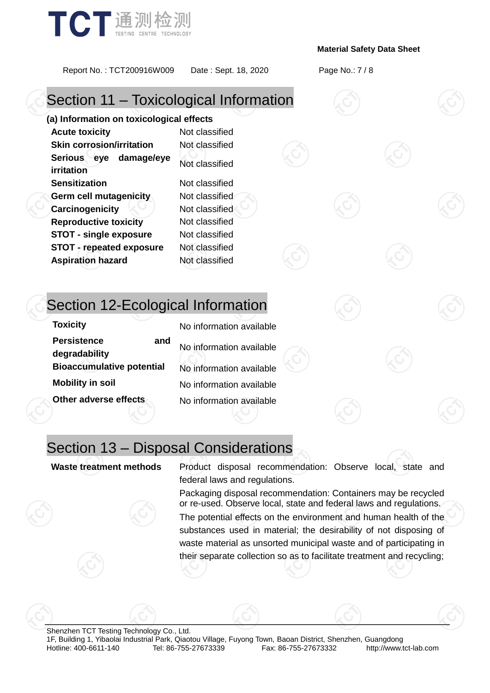

Report No. : TCT200916W009 Date : Sept. 18, 2020 Page No.: 7 / 8

# Section 11 – Toxicological Information

**(a) Information on toxicological effects Acute toxicity** Not classified **Skin corrosion/irritation** Not classified **Serious eye damage/eye irritation** Not classified **Sensitization** Not classified **Germ cell mutagenicity** Not classified **Carcinogenicity Not classified Reproductive toxicity** Not classified **STOT - single exposure** Not classified **STOT - repeated exposure** Not classified **Aspiration hazard** Not classified

## Section 12-Ecological Information

| <b>Toxicity</b>                            | No information available |
|--------------------------------------------|--------------------------|
| <b>Persistence</b><br>and<br>degradability | No information available |
| <b>Bioaccumulative potential</b>           | No information available |
| <b>Mobility in soil</b>                    | No information available |
| Other adverse effects                      | No information available |

### Section 13 – Disposal Considerations

**Waste treatment methods** Product disposal recommendation: Observe local, state and federal laws and regulations.

> Packaging disposal recommendation: Containers may be recycled or re-used. Observe local, state and federal laws and regulations.

> The potential effects on the environment and human health of the substances used in material; the desirability of not disposing of waste material as unsorted municipal waste and of participating in their separate collection so as to facilitate treatment and recycling;

Shenzhen TCT Testing Technology Co., Ltd. 1F, Building 1, Yibaolai Industrial Park, Qiaotou Village, Fuyong Town, Baoan District, Shenzhen, Guangdong http://www.tct-lab.com